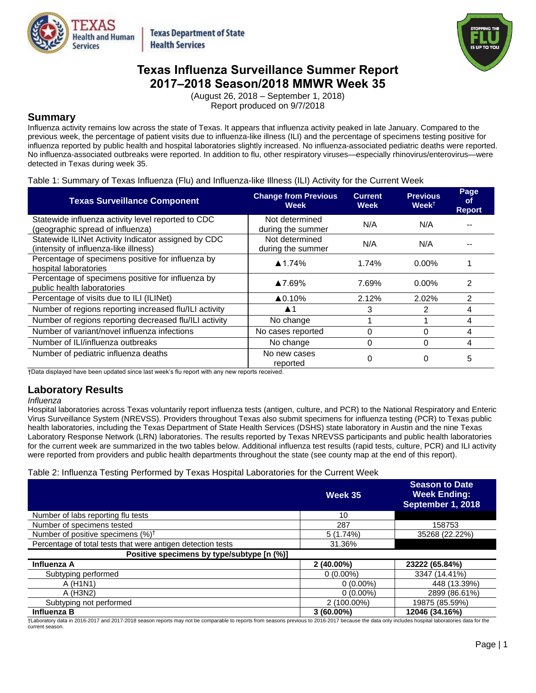

**Texas Department of State Health Services** 



# **Texas Influenza Surveillance Summer Report 2017–2018 Season/2018 MMWR Week 35**

(August 26, 2018 – September 1, 2018) Report produced on 9/7/2018

## **Summary**

Influenza activity remains low across the state of Texas. It appears that influenza activity peaked in late January. Compared to the previous week, the percentage of patient visits due to influenza-like illness (ILI) and the percentage of specimens testing positive for influenza reported by public health and hospital laboratories slightly increased. No influenza-associated pediatric deaths were reported. No influenza-associated outbreaks were reported. In addition to flu, other respiratory viruses—especially rhinovirus/enterovirus—were detected in Texas during week 35.

## Table 1: Summary of Texas Influenza (Flu) and Influenza-like Illness (ILI) Activity for the Current Week

| <b>Texas Surveillance Component</b>                                                          | <b>Change from Previous</b><br>Week | <b>Current</b><br><b>Week</b> | <b>Previous</b><br>$Week^{\dagger}$ | Page<br><b>of</b><br><b>Report</b> |
|----------------------------------------------------------------------------------------------|-------------------------------------|-------------------------------|-------------------------------------|------------------------------------|
| Statewide influenza activity level reported to CDC<br>(geographic spread of influenza)       | Not determined<br>during the summer | N/A                           | N/A                                 |                                    |
| Statewide ILINet Activity Indicator assigned by CDC<br>(intensity of influenza-like illness) | Not determined<br>during the summer | N/A                           | N/A                                 |                                    |
| Percentage of specimens positive for influenza by<br>hospital laboratories                   | $\triangle$ 1.74%                   | 1.74%                         | $0.00\%$                            |                                    |
| Percentage of specimens positive for influenza by<br>public health laboratories              | ▲7.69%                              | 7.69%                         | $0.00\%$                            | 2                                  |
| Percentage of visits due to ILI (ILINet)                                                     | $\triangle 0.10\%$                  | 2.12%                         | 2.02%                               | 2                                  |
| Number of regions reporting increased flu/ILI activity                                       | $\blacktriangle$ 1                  | 3                             | 2                                   | 4                                  |
| Number of regions reporting decreased flu/ILI activity                                       | No change                           |                               |                                     | 4                                  |
| Number of variant/novel influenza infections                                                 | No cases reported                   | 0                             | 0                                   | 4                                  |
| Number of ILI/influenza outbreaks                                                            | No change                           | $\Omega$                      | 0                                   | 4                                  |
| Number of pediatric influenza deaths                                                         | No new cases<br>reported            | 0                             | 0                                   | 5                                  |

†Data displayed have been updated since last week's flu report with any new reports received.

## **Laboratory Results**

### *Influenza*

Hospital laboratories across Texas voluntarily report influenza tests (antigen, culture, and PCR) to the National Respiratory and Enteric Virus Surveillance System (NREVSS). Providers throughout Texas also submit specimens for influenza testing (PCR) to Texas public health laboratories, including the Texas Department of State Health Services (DSHS) state laboratory in Austin and the nine Texas Laboratory Response Network (LRN) laboratories. The results reported by Texas NREVSS participants and public health laboratories for the current week are summarized in the two tables below. Additional influenza test results (rapid tests, culture, PCR) and ILI activity were reported from providers and public health departments throughout the state (see county map at the end of this report).

## Table 2: Influenza Testing Performed by Texas Hospital Laboratories for the Current Week

|                                                             | Week 35      | <b>Season to Date</b><br><b>Week Ending:</b><br>September 1, 2018 |
|-------------------------------------------------------------|--------------|-------------------------------------------------------------------|
| Number of labs reporting flu tests                          | 10           |                                                                   |
| Number of specimens tested                                  | 287          | 158753                                                            |
| Number of positive specimens (%) <sup>†</sup>               | 5(1.74%)     | 35268 (22.22%)                                                    |
| Percentage of total tests that were antigen detection tests | 31.36%       |                                                                   |
| Positive specimens by type/subtype [n (%)]                  |              |                                                                   |
| Influenza A                                                 | $2(40.00\%)$ | 23222 (65.84%)                                                    |
| Subtyping performed                                         | $0(0.00\%)$  | 3347 (14.41%)                                                     |
| A (H <sub>1</sub> N <sub>1</sub> )                          | $0(0.00\%)$  | 448 (13.39%)                                                      |
| A (H3N2)                                                    | $0(0.00\%)$  | 2899 (86.61%)                                                     |
| Subtyping not performed                                     | 2 (100.00%)  | 19875 (85.59%)                                                    |
| Influenza B                                                 | $3(60.00\%)$ | 12046 (34.16%)                                                    |

†Laboratory data in 2016-2017 and 2017-2018 season reports may not be comparable to reports from seasons previous to 2016-2017 because the data only includes hospital laboratories data for the current season.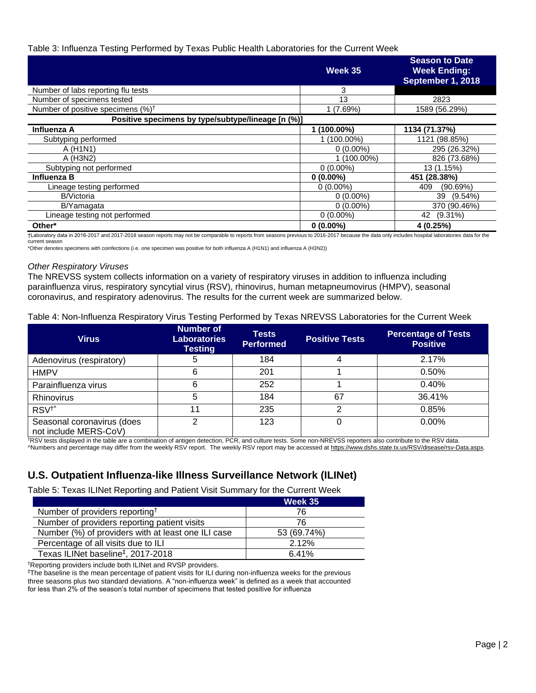## Table 3: Influenza Testing Performed by Texas Public Health Laboratories for the Current Week

|                                                    | Week 35      | <b>Season to Date</b><br><b>Week Ending:</b><br>September 1, 2018 |
|----------------------------------------------------|--------------|-------------------------------------------------------------------|
| Number of labs reporting flu tests                 | 3            |                                                                   |
| Number of specimens tested                         | 13           | 2823                                                              |
| Number of positive specimens $(%)^{\dagger}$       | 1(7.69%)     | 1589 (56.29%)                                                     |
| Positive specimens by type/subtype/lineage [n (%)] |              |                                                                   |
| Influenza A                                        | $(100.00\%)$ | 1134 (71.37%)                                                     |
| Subtyping performed                                | 1 (100.00%)  | 1121 (98.85%)                                                     |
| A (H <sub>1</sub> N <sub>1</sub> )                 | $0(0.00\%)$  | 295 (26.32%)                                                      |
| A (H3N2)                                           | $(100.00\%)$ | 826 (73.68%)                                                      |
| Subtyping not performed                            | $0(0.00\%)$  | 13 (1.15%)                                                        |
| Influenza B                                        | $0(0.00\%)$  | 451 (28.38%)                                                      |
| Lineage testing performed                          | $0(0.00\%)$  | 409<br>(90.69%)                                                   |
| <b>B/Victoria</b>                                  | $0(0.00\%)$  | $(9.54\%)$<br>39                                                  |
| B/Yamagata                                         | $0(0.00\%)$  | 370 (90.46%)                                                      |
| Lineage testing not performed                      | $0(0.00\%)$  | 42 (9.31%)                                                        |
| Other*                                             | $0(0.00\%)$  | 4(0.25%)                                                          |

†Laboratory data in 2016-2017 and 2017-2018 season reports may not be comparable to reports from seasons previous to 2016-2017 because the data only includes hospital laboratories data for the current season

\*Other denotes specimens with coinfections (i.e. one specimen was positive for both influenza A (H1N1) and influenza A (H3N2))

### *Other Respiratory Viruses*

The NREVSS system collects information on a variety of respiratory viruses in addition to influenza including parainfluenza virus, respiratory syncytial virus (RSV), rhinovirus, human metapneumovirus (HMPV), seasonal coronavirus, and respiratory adenovirus. The results for the current week are summarized below.

### Table 4: Non-Influenza Respiratory Virus Testing Performed by Texas NREVSS Laboratories for the Current Week

| <b>Virus</b>                                        | Number of<br><b>Laboratories</b><br><b>Testing</b> | <b>Tests</b><br><b>Performed</b> | <b>Positive Tests</b> | <b>Percentage of Tests</b><br><b>Positive</b> |
|-----------------------------------------------------|----------------------------------------------------|----------------------------------|-----------------------|-----------------------------------------------|
| Adenovirus (respiratory)                            | b                                                  | 184                              | 4                     | 2.17%                                         |
| <b>HMPV</b>                                         | 6                                                  | 201                              |                       | $0.50\%$                                      |
| Parainfluenza virus                                 |                                                    | 252                              |                       | 0.40%                                         |
| Rhinovirus                                          |                                                    | 184                              | 67                    | 36.41%                                        |
| RSV <sup>+</sup>                                    | 11                                                 | 235                              | 2                     | 0.85%                                         |
| Seasonal coronavirus (does<br>not include MERS-CoV) | ◠                                                  | 123                              | 0                     | 0.00%                                         |

†RSV tests displayed in the table are a combination of antigen detection, PCR, and culture tests. Some non-NREVSS reporters also contribute to the RSV data. ^Numbers and percentage may differ from the weekly RSV report. The weekly RSV report may be accessed at [https://www.dshs.state.tx.us/RSV/disease/rsv-Data.aspx.](https://www.dshs.state.tx.us/RSV/disease/rsv-Data.aspx)

# **U.S. Outpatient Influenza-like Illness Surveillance Network (ILINet)**

Table 5: Texas ILINet Reporting and Patient Visit Summary for the Current Week

|                                                    | Week 35     |
|----------------------------------------------------|-------------|
| Number of providers reporting <sup>†</sup>         | 76          |
| Number of providers reporting patient visits       | 76          |
| Number (%) of providers with at least one ILI case | 53 (69.74%) |
| Percentage of all visits due to ILI                | 2.12%       |
| Texas ILINet baseline <sup>‡</sup> , 2017-2018     | 6.41%       |

†Reporting providers include both ILINet and RVSP providers.

‡The baseline is the mean percentage of patient visits for ILI during non-influenza weeks for the previous three seasons plus two standard deviations. A "non-influenza week" is defined as a week that accounted for less than 2% of the season's total number of specimens that tested positive for influenza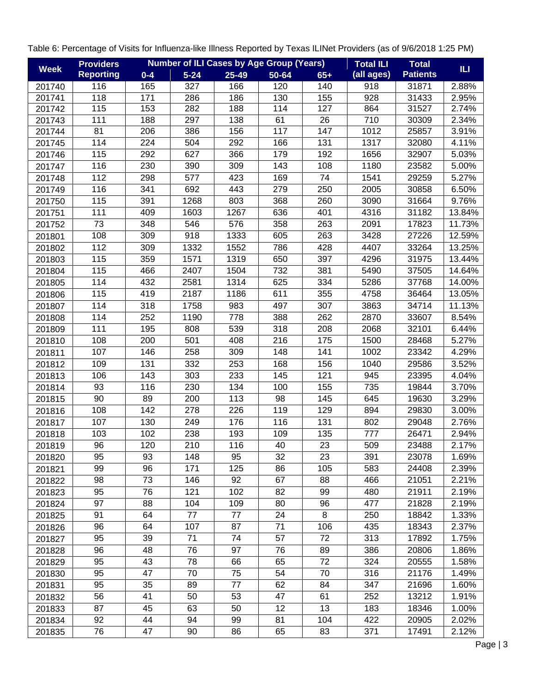| <b>Week</b> | <b>Providers</b> |         |          |           | <b>Number of ILI Cases by Age Group (Years)</b> |       | <b>Total ILI</b> | <b>Total</b>    | ILI.   |
|-------------|------------------|---------|----------|-----------|-------------------------------------------------|-------|------------------|-----------------|--------|
|             | <b>Reporting</b> | $0 - 4$ | $5 - 24$ | $25 - 49$ | 50-64                                           | $65+$ | (all ages)       | <b>Patients</b> |        |
| 201740      | 116              | 165     | 327      | 166       | 120                                             | 140   | 918              | 31871           | 2.88%  |
| 201741      | 118              | 171     | 286      | 186       | 130                                             | 155   | 928              | 31433           | 2.95%  |
| 201742      | 115              | 153     | 282      | 188       | 114                                             | 127   | 864              | 31527           | 2.74%  |
| 201743      | 111              | 188     | 297      | 138       | 61                                              | 26    | 710              | 30309           | 2.34%  |
| 201744      | 81               | 206     | 386      | 156       | 117                                             | 147   | 1012             | 25857           | 3.91%  |
| 201745      | 114              | 224     | 504      | 292       | 166                                             | 131   | 1317             | 32080           | 4.11%  |
| 201746      | 115              | 292     | 627      | 366       | 179                                             | 192   | 1656             | 32907           | 5.03%  |
| 201747      | 116              | 230     | 390      | 309       | 143                                             | 108   | 1180             | 23582           | 5.00%  |
| 201748      | 112              | 298     | 577      | 423       | 169                                             | 74    | 1541             | 29259           | 5.27%  |
| 201749      | 116              | 341     | 692      | 443       | 279                                             | 250   | 2005             | 30858           | 6.50%  |
| 201750      | 115              | 391     | 1268     | 803       | 368                                             | 260   | 3090             | 31664           | 9.76%  |
| 201751      | 111              | 409     | 1603     | 1267      | 636                                             | 401   | 4316             | 31182           | 13.84% |
| 201752      | 73               | 348     | 546      | 576       | 358                                             | 263   | 2091             | 17823           | 11.73% |
| 201801      | 108              | 309     | 918      | 1333      | 605                                             | 263   | 3428             | 27226           | 12.59% |
| 201802      | 112              | 309     | 1332     | 1552      | 786                                             | 428   | 4407             | 33264           | 13.25% |
| 201803      | 115              | 359     | 1571     | 1319      | 650                                             | 397   | 4296             | 31975           | 13.44% |
| 201804      | 115              | 466     | 2407     | 1504      | 732                                             | 381   | 5490             | 37505           | 14.64% |
| 201805      | 114              | 432     | 2581     | 1314      | 625                                             | 334   | 5286             | 37768           | 14.00% |
| 201806      | 115              | 419     | 2187     | 1186      | 611                                             | 355   | 4758             | 36464           | 13.05% |
| 201807      | 114              | 318     | 1758     | 983       | 497                                             | 307   | 3863             | 34714           | 11.13% |
| 201808      | 114              | 252     | 1190     | 778       | 388                                             | 262   | 2870             | 33607           | 8.54%  |
| 201809      | 111              | 195     | 808      | 539       | 318                                             | 208   | 2068             | 32101           | 6.44%  |
| 201810      | 108              | 200     | 501      | 408       | 216                                             | 175   | 1500             | 28468           | 5.27%  |
| 201811      | 107              | 146     | 258      | 309       | 148                                             | 141   | 1002             | 23342           | 4.29%  |
| 201812      | 109              | 131     | 332      | 253       | 168                                             | 156   | 1040             | 29586           | 3.52%  |
| 201813      | 106              | 143     | 303      | 233       | 145                                             | 121   | 945              | 23395           | 4.04%  |
| 201814      | 93               | 116     | 230      | 134       | 100                                             | 155   | 735              | 19844           | 3.70%  |
| 201815      | 90               | 89      | 200      | 113       | 98                                              | 145   | 645              | 19630           | 3.29%  |
| 201816      | 108              | 142     | 278      | 226       | 119                                             | 129   | 894              | 29830           | 3.00%  |
| 201817      | 107              | 130     | 249      | 176       | 116                                             | 131   | 802              | 29048           | 2.76%  |
| 201818      | 103              | 102     | 238      | 193       | 109                                             | 135   | 777              | 26471           | 2.94%  |
| 201819      | 96               | 120     | 210      | 116       | 40                                              | 23    | 509              | 23488           | 2.17%  |
| 201820      | 95               | 93      | 148      | 95        | 32                                              | 23    | 391              | 23078           | 1.69%  |
| 201821      | 99               | 96      | 171      | 125       | 86                                              | 105   | 583              | 24408           | 2.39%  |
| 201822      | 98               | 73      | 146      | 92        | 67                                              | 88    | 466              | 21051           | 2.21%  |
| 201823      | 95               | 76      | 121      | 102       | 82                                              | 99    | 480              | 21911           | 2.19%  |
| 201824      | 97               | 88      | 104      | 109       | 80                                              | 96    | 477              | 21828           | 2.19%  |
| 201825      | 91               | 64      | 77       | 77        | 24                                              | 8     | 250              | 18842           | 1.33%  |
| 201826      | 96               | 64      | 107      | 87        | 71                                              | 106   | 435              | 18343           | 2.37%  |
| 201827      | 95               | 39      | 71       | 74        | 57                                              | 72    | 313              | 17892           | 1.75%  |
| 201828      | 96               | 48      | 76       | 97        | 76                                              | 89    | 386              | 20806           | 1.86%  |
| 201829      | 95               | 43      | 78       | 66        | 65                                              | 72    | 324              | 20555           | 1.58%  |
| 201830      | 95               | 47      | 70       | 75        | 54                                              | 70    | 316              | 21176           | 1.49%  |
| 201831      | 95               | 35      | 89       | 77        | 62                                              | 84    | 347              | 21696           | 1.60%  |
| 201832      | 56               | 41      | 50       | 53        | 47                                              | 61    | 252              | 13212           | 1.91%  |
| 201833      | 87               | 45      | 63       | 50        | 12                                              | 13    | 183              | 18346           | 1.00%  |
| 201834      | 92               | 44      | 94       | 99        | 81                                              | 104   | 422              | 20905           | 2.02%  |
| 201835      | 76               | 47      | 90       | 86        | 65                                              | 83    | 371              | 17491           | 2.12%  |

Table 6: Percentage of Visits for Influenza-like Illness Reported by Texas ILINet Providers (as of 9/6/2018 1:25 PM)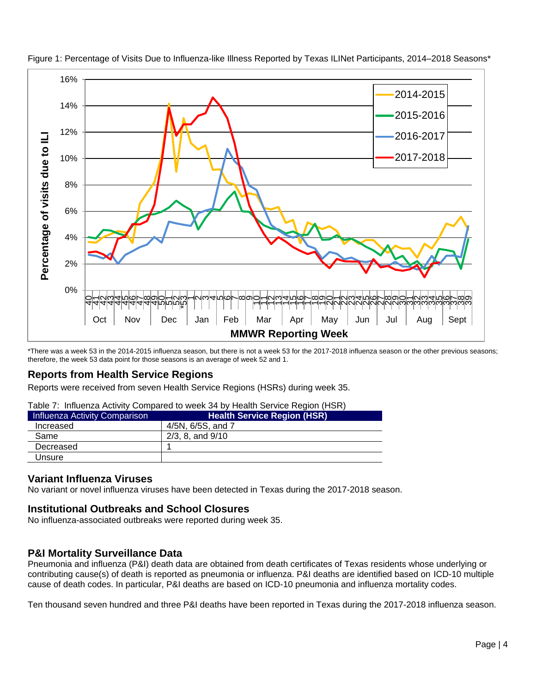

Figure 1: Percentage of Visits Due to Influenza-like Illness Reported by Texas ILINet Participants, 2014–2018 Seasons\*

\*There was a week 53 in the 2014-2015 influenza season, but there is not a week 53 for the 2017-2018 influenza season or the other previous seasons; therefore, the week 53 data point for those seasons is an average of week 52 and 1.

# **Reports from Health Service Regions**

Reports were received from seven Health Service Regions (HSRs) during week 35.

|  | Table 7: Influenza Activity Compared to week 34 by Health Service Region (HSR) |  |  |  |  |  |
|--|--------------------------------------------------------------------------------|--|--|--|--|--|
|--|--------------------------------------------------------------------------------|--|--|--|--|--|

| Influenza Activity Comparison | <b>Health Service Region (HSR)</b> |
|-------------------------------|------------------------------------|
| Increased                     | 4/5N, 6/5S, and 7                  |
| Same                          | $2/3$ , 8, and $9/10$              |
| Decreased                     |                                    |
| Unsure                        |                                    |
|                               |                                    |

# **Variant Influenza Viruses**

No variant or novel influenza viruses have been detected in Texas during the 2017-2018 season.

# **Institutional Outbreaks and School Closures**

No influenza-associated outbreaks were reported during week 35.

# **P&I Mortality Surveillance Data**

Pneumonia and influenza (P&I) death data are obtained from death certificates of Texas residents whose underlying or contributing cause(s) of death is reported as pneumonia or influenza. P&I deaths are identified based on ICD-10 multiple cause of death codes. In particular, P&I deaths are based on ICD-10 pneumonia and influenza mortality codes.

Ten thousand seven hundred and three P&I deaths have been reported in Texas during the 2017-2018 influenza season.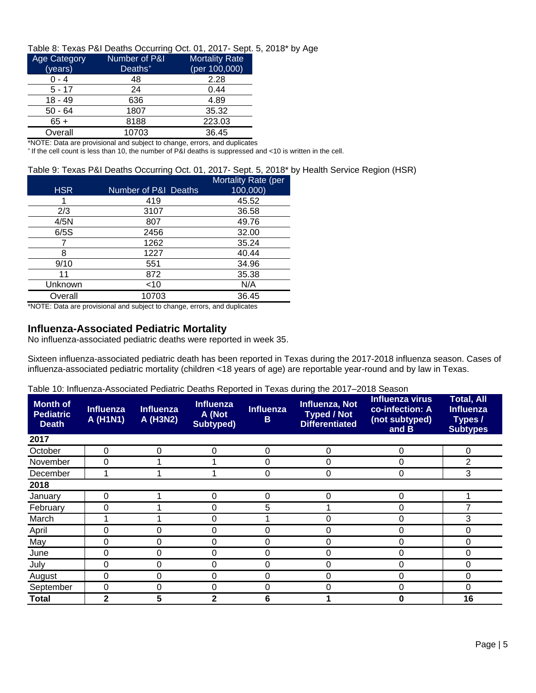## Table 8: Texas P&I Deaths Occurring Oct. 01, 2017- Sept. 5, 2018\* by Age

| <b>Age Category</b> | Number of P&I       | <b>Mortality Rate</b> |
|---------------------|---------------------|-----------------------|
| (years)             | Deaths <sup>+</sup> | (per 100,000)         |
| $0 - 4$             | 48                  | 2.28                  |
| $5 - 17$            | 24                  | 0.44                  |
| $18 - 49$           | 636                 | 4.89                  |
| $50 - 64$           | 1807                | 35.32                 |
| $65+$               | 8188                | 223.03                |
| Overall             | 10703               | 36.45                 |

\*NOTE: Data are provisional and subject to change, errors, and duplicates

<sup>+</sup>If the cell count is less than 10, the number of P&I deaths is suppressed and <10 is written in the cell.

## Table 9: Texas P&I Deaths Occurring Oct. 01, 2017- Sept. 5, 2018\* by Health Service Region (HSR)

|            |                                 | Mortality Rate (per |
|------------|---------------------------------|---------------------|
| <b>HSR</b> | <b>Number of P&amp;I Deaths</b> | 100,000)            |
|            | 419                             | 45.52               |
| 2/3        | 3107                            | 36.58               |
| 4/5N       | 807                             | 49.76               |
| 6/5S       | 2456                            | 32.00               |
|            | 1262                            | 35.24               |
| 8          | 1227                            | 40.44               |
| 9/10       | 551                             | 34.96               |
| 11         | 872                             | 35.38               |
| Unknown    | $<$ 10                          | N/A                 |
| Overall    | 10703                           | 36.45               |

\*NOTE: Data are provisional and subject to change, errors, and duplicates

## **Influenza-Associated Pediatric Mortality**

No influenza-associated pediatric deaths were reported in week 35.

Sixteen influenza-associated pediatric death has been reported in Texas during the 2017-2018 influenza season. Cases of influenza-associated pediatric mortality (children <18 years of age) are reportable year-round and by law in Texas.

|  |  | Table 10: Influenza-Associated Pediatric Deaths Reported in Texas during the 2017–2018 Season |  |  |  |  |
|--|--|-----------------------------------------------------------------------------------------------|--|--|--|--|
|--|--|-----------------------------------------------------------------------------------------------|--|--|--|--|

| <b>Month of</b><br><b>Pediatric</b><br><b>Death</b> | <b>Influenza</b><br>A (H1N1) | <b>Influenza</b><br>A (H3N2) | <b>Influenza</b><br>A (Not<br>Subtyped) | <b>Influenza</b><br>B | Influenza, Not<br><b>Typed / Not</b><br><b>Differentiated</b> | <b>Influenza virus</b><br>co-infection: A<br>(not subtyped)<br>and B | <b>Total, All</b><br><b>Influenza</b><br>Types /<br><b>Subtypes</b> |
|-----------------------------------------------------|------------------------------|------------------------------|-----------------------------------------|-----------------------|---------------------------------------------------------------|----------------------------------------------------------------------|---------------------------------------------------------------------|
| 2017                                                |                              |                              |                                         |                       |                                                               |                                                                      |                                                                     |
| October                                             | 0                            | 0                            | $\Omega$                                | 0                     | $\Omega$                                                      | 0                                                                    | 0                                                                   |
| November                                            | 0                            |                              |                                         | 0                     |                                                               | 0                                                                    | 2                                                                   |
| December                                            |                              |                              |                                         | 0                     | 0                                                             | 0                                                                    | 3                                                                   |
| 2018                                                |                              |                              |                                         |                       |                                                               |                                                                      |                                                                     |
| January                                             | 0                            |                              | 0                                       | 0                     | 0                                                             | 0                                                                    |                                                                     |
| February                                            | 0                            |                              | 0                                       | 5                     |                                                               | 0                                                                    |                                                                     |
| March                                               |                              |                              | 0                                       |                       | 0                                                             | 0                                                                    | 3                                                                   |
| April                                               | 0                            | 0                            | 0                                       | 0                     | 0                                                             | 0                                                                    | 0                                                                   |
| May                                                 | 0                            | 0                            | 0                                       | 0                     | 0                                                             | 0                                                                    | 0                                                                   |
| June                                                | 0                            | 0                            | 0                                       | 0                     | 0                                                             | 0                                                                    | 0                                                                   |
| July                                                | 0                            | 0                            | 0                                       | 0                     | 0                                                             | 0                                                                    | 0                                                                   |
| August                                              | 0                            | 0                            | 0                                       | 0                     | 0                                                             | 0                                                                    | 0                                                                   |
| September                                           | 0                            | 0                            | 0                                       | 0                     | $\Omega$                                                      | 0                                                                    | 0                                                                   |
| <b>Total</b>                                        | $\overline{2}$               | 5                            | 2                                       | 6                     |                                                               | 0                                                                    | 16                                                                  |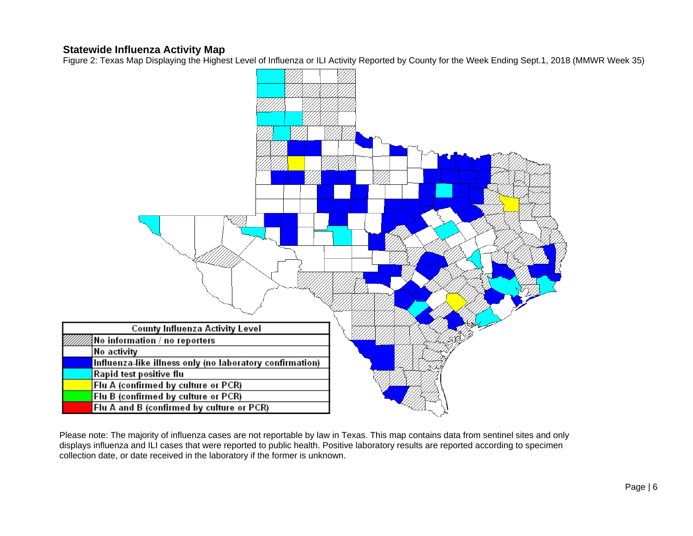## **Statewide Influenza Activity Map**

Figure 2: Texas Map Displaying the Highest Level of Influenza or ILI Activity Reported by County for the Week Ending Sept.1, 2018 (MMWR Week 35)



Please note: The majority of influenza cases are not reportable by law in Texas. This map contains data from sentinel sites and only displays influenza and ILI cases that were reported to public health. Positive laboratory results are reported according to specimen collection date, or date received in the laboratory if the former is unknown.